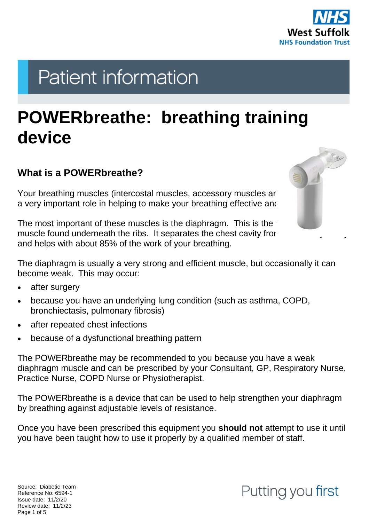

# **Patient information**

## **POWERbreathe: breathing training device**

#### **What is a POWERbreathe?**

Your breathing muscles (intercostal muscles, accessory muscles are a very important role in helping to make your breathing effective and

The most important of these muscles is the diaphragm. This is the muscle found underneath the ribs. It separates the chest cavity from and helps with about 85% of the work of your breathing.

The diaphragm is usually a very strong and efficient muscle, but occasionally it can become weak. This may occur:

- after surgery
- because you have an underlying lung condition (such as asthma, COPD, bronchiectasis, pulmonary fibrosis)
- after repeated chest infections
- because of a dysfunctional breathing pattern

The POWERbreathe may be recommended to you because you have a weak diaphragm muscle and can be prescribed by your Consultant, GP, Respiratory Nurse, Practice Nurse, COPD Nurse or Physiotherapist.

The POWERbreathe is a device that can be used to help strengthen your diaphragm by breathing against adjustable levels of resistance.

Once you have been prescribed this equipment you **should not** attempt to use it until you have been taught how to use it properly by a qualified member of staff.

Source: Diabetic Team Reference No: 6594-1 Issue date: 11/2/20 Review date: 11/2/23 Page 1 of 5

### Putting you first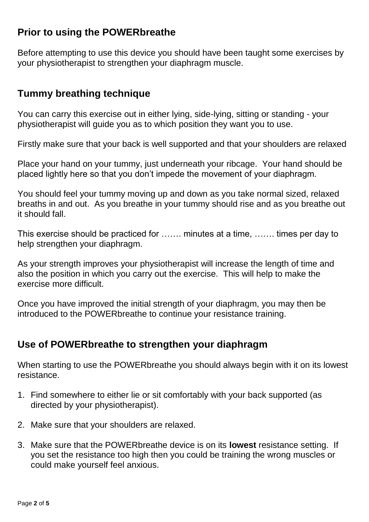#### **Prior to using the POWERbreathe**

Before attempting to use this device you should have been taught some exercises by your physiotherapist to strengthen your diaphragm muscle.

#### **Tummy breathing technique**

You can carry this exercise out in either lying, side-lying, sitting or standing - your physiotherapist will guide you as to which position they want you to use.

Firstly make sure that your back is well supported and that your shoulders are relaxed

Place your hand on your tummy, just underneath your ribcage. Your hand should be placed lightly here so that you don't impede the movement of your diaphragm.

You should feel your tummy moving up and down as you take normal sized, relaxed breaths in and out. As you breathe in your tummy should rise and as you breathe out it should fall.

This exercise should be practiced for ……. minutes at a time, ……. times per day to help strengthen your diaphragm.

As your strength improves your physiotherapist will increase the length of time and also the position in which you carry out the exercise. This will help to make the exercise more difficult.

Once you have improved the initial strength of your diaphragm, you may then be introduced to the POWERbreathe to continue your resistance training.

#### **Use of POWERbreathe to strengthen your diaphragm**

When starting to use the POWERbreathe you should always begin with it on its lowest resistance.

- 1. Find somewhere to either lie or sit comfortably with your back supported (as directed by your physiotherapist).
- 2. Make sure that your shoulders are relaxed.
- 3. Make sure that the POWERbreathe device is on its **lowest** resistance setting. If you set the resistance too high then you could be training the wrong muscles or could make yourself feel anxious.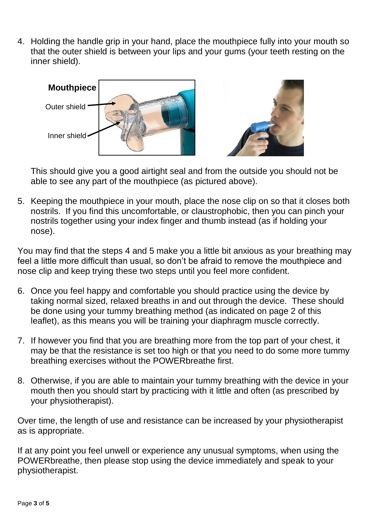4. Holding the handle grip in your hand, place the mouthpiece fully into your mouth so that the outer shield is between your lips and your gums (your teeth resting on the inner shield).



This should give you a good airtight seal and from the outside you should not be able to see any part of the mouthpiece (as pictured above).

5. Keeping the mouthpiece in your mouth, place the nose clip on so that it closes both nostrils. If you find this uncomfortable, or claustrophobic, then you can pinch your nostrils together using your index finger and thumb instead (as if holding your nose).

You may find that the steps 4 and 5 make you a little bit anxious as your breathing may feel a little more difficult than usual, so don't be afraid to remove the mouthpiece and nose clip and keep trying these two steps until you feel more confident.

- 6. Once you feel happy and comfortable you should practice using the device by taking normal sized, relaxed breaths in and out through the device. These should be done using your tummy breathing method (as indicated on page 2 of this leaflet), as this means you will be training your diaphragm muscle correctly.
- 7. If however you find that you are breathing more from the top part of your chest, it may be that the resistance is set too high or that you need to do some more tummy breathing exercises without the POWERbreathe first.
- 8. Otherwise, if you are able to maintain your tummy breathing with the device in your mouth then you should start by practicing with it little and often (as prescribed by your physiotherapist).

Over time, the length of use and resistance can be increased by your physiotherapist as is appropriate.

If at any point you feel unwell or experience any unusual symptoms, when using the POWERbreathe, then please stop using the device immediately and speak to your physiotherapist.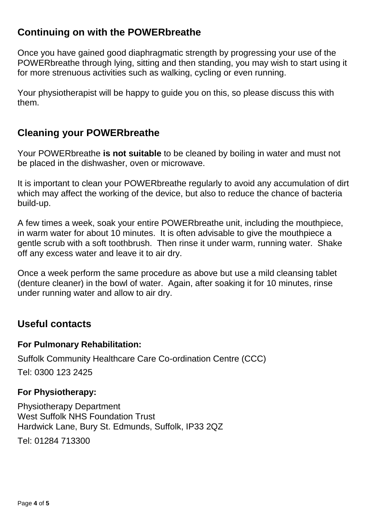#### **Continuing on with the POWERbreathe**

Once you have gained good diaphragmatic strength by progressing your use of the POWERbreathe through lying, sitting and then standing, you may wish to start using it for more strenuous activities such as walking, cycling or even running.

Your physiotherapist will be happy to guide you on this, so please discuss this with them.

#### **Cleaning your POWERbreathe**

Your POWERbreathe **is not suitable** to be cleaned by boiling in water and must not be placed in the dishwasher, oven or microwave.

It is important to clean your POWERbreathe regularly to avoid any accumulation of dirt which may affect the working of the device, but also to reduce the chance of bacteria build-up.

A few times a week, soak your entire POWERbreathe unit, including the mouthpiece, in warm water for about 10 minutes. It is often advisable to give the mouthpiece a gentle scrub with a soft toothbrush. Then rinse it under warm, running water. Shake off any excess water and leave it to air dry.

Once a week perform the same procedure as above but use a mild cleansing tablet (denture cleaner) in the bowl of water. Again, after soaking it for 10 minutes, rinse under running water and allow to air dry.

#### **Useful contacts**

#### **For Pulmonary Rehabilitation:**

Suffolk Community Healthcare Care Co-ordination Centre (CCC)

Tel: 0300 123 2425

#### **For Physiotherapy:**

Physiotherapy Department West Suffolk NHS Foundation Trust Hardwick Lane, Bury St. Edmunds, Suffolk, IP33 2QZ

Tel: 01284 713300